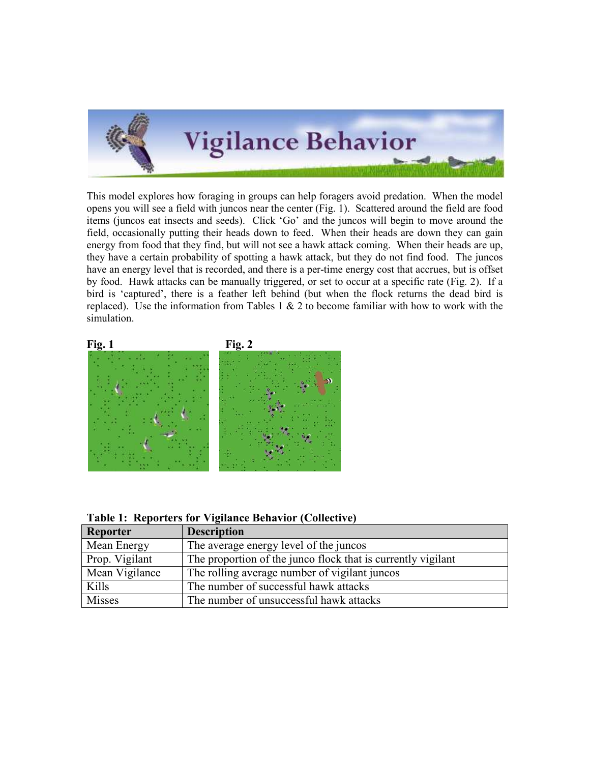

This model explores how foraging in groups can help foragers avoid predation. When the model opens you will see a field with juncos near the center (Fig. 1). Scattered around the field are food items (juncos eat insects and seeds). Click 'Go' and the juncos will begin to move around the field, occasionally putting their heads down to feed. When their heads are down they can gain energy from food that they find, but will not see a hawk attack coming. When their heads are up, they have a certain probability of spotting a hawk attack, but they do not find food. The juncos have an energy level that is recorded, and there is a per-time energy cost that accrues, but is offset by food. Hawk attacks can be manually triggered, or set to occur at a specific rate (Fig. 2). If a bird is 'captured', there is a feather left behind (but when the flock returns the dead bird is replaced). Use the information from Tables  $1 \& 2$  to become familiar with how to work with the simulation.



Table 1: Reporters for Vigilance Behavior (Collective)

| Reporter       | <b>Description</b>                                           |
|----------------|--------------------------------------------------------------|
| Mean Energy    | The average energy level of the juncos                       |
| Prop. Vigilant | The proportion of the junco flock that is currently vigilant |
| Mean Vigilance | The rolling average number of vigilant juncos                |
| Kills          | The number of successful hawk attacks                        |
| Misses         | The number of unsuccessful hawk attacks                      |